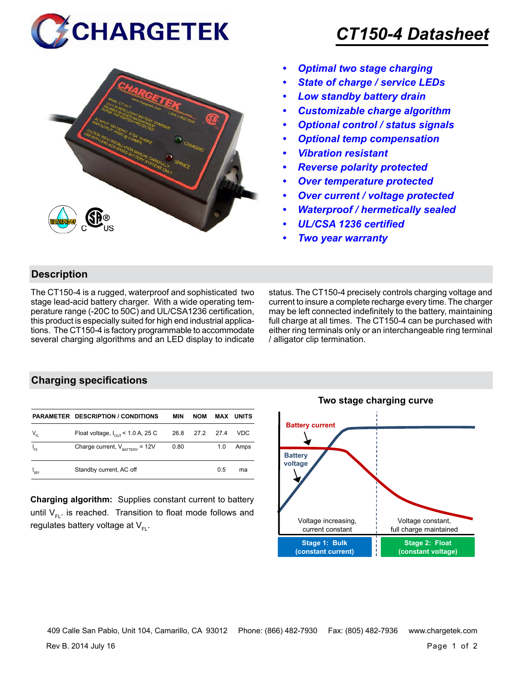



## *CT150-4 Datasheet*

- *• Optimal two stage charging*
- *• State of charge / service LEDs*
- *• Low standby battery drain*
- *• Customizable charge algorithm*
- *• Optional control / status signals*
- *• Optional temp compensation*
- *• Vibration resistant*
- *• Reverse polarity protected*
- *• Over temperature protected*
- *• Over current / voltage protected*
- *• Waterproof / hermetically sealed*
- *• UL/CSA 1236 certified*
- *• Two year warranty*

#### **Description**

The CT150-4 is a rugged, waterproof and sophisticated two stage lead-acid battery charger. With a wide operating temperature range (-20C to 50C) and UL/CSA1236 certification, this product is especially suited for high end industrial applications. The CT150-4 is factory programmable to accommodate several charging algorithms and an LED display to indicate status. The CT150-4 precisely controls charging voltage and current to insure a complete recharge every time. The charger may be left connected indefinitely to the battery, maintaining full charge at all times. The CT150-4 can be purchased with either ring terminals only or an interchangeable ring terminal / alligator clip termination.

### **Charging specifications**

|               | <b>PARAMETER DESCRIPTION / CONDITIONS</b>     | MIN  | <b>NOM</b>     |     | <b>MAX UNITS</b> |
|---------------|-----------------------------------------------|------|----------------|-----|------------------|
| $V_{_{FL}}$   | Float voltage, $I_{\text{out}}$ < 1.0 A, 25 C |      | 26.8 27.2 27.4 |     | VDC              |
| $I_{FS}$      | Charge current, $V_{\text{raffry}} = 12V$     | 0.80 |                | 1.0 | Amps             |
| $I_{\rm sBY}$ | Standby current, AC off                       |      |                | 0.5 | ma               |

**Charging algorithm:** Supplies constant current to battery until  $V_{F1}$ . is reached. Transition to float mode follows and regulates battery voltage at  $V_{F}$ .



409 Calle San Pablo, Unit 104, Camarillo, CA 93012 Phone: (866) 482-7930 Fax: (805) 482-7936 www.chargetek.com